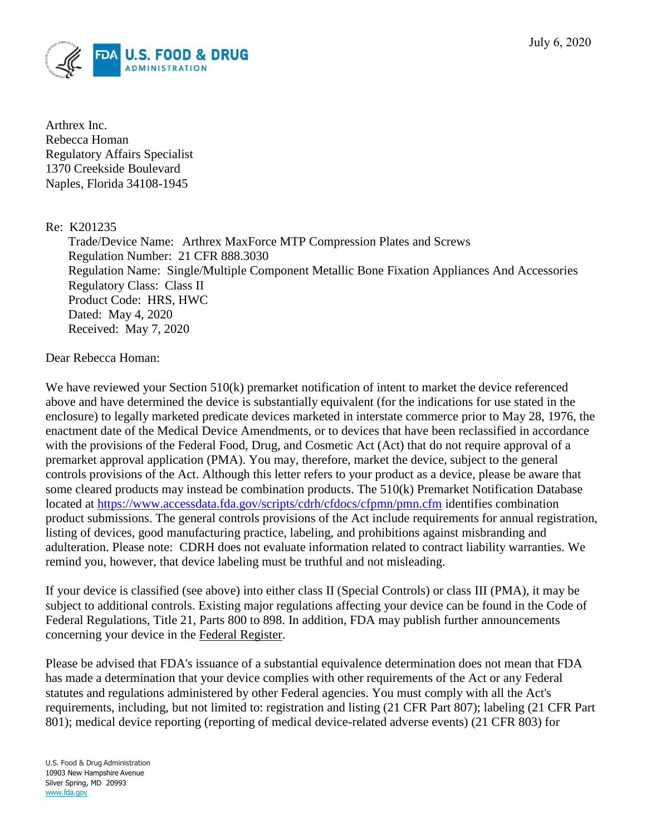

Arthrex Inc. Rebecca Homan Regulatory Affairs Specialist 1370 Creekside Boulevard Naples, Florida 34108-1945

## Re: K201235

Trade/Device Name: Arthrex MaxForce MTP Compression Plates and Screws Regulation Number: 21 CFR 888.3030 Regulation Name: Single/Multiple Component Metallic Bone Fixation Appliances And Accessories Regulatory Class: Class II Product Code: HRS, HWC Dated: May 4, 2020 Received: May 7, 2020

Dear Rebecca Homan:

We have reviewed your Section 510(k) premarket notification of intent to market the device referenced above and have determined the device is substantially equivalent (for the indications for use stated in the enclosure) to legally marketed predicate devices marketed in interstate commerce prior to May 28, 1976, the enactment date of the Medical Device Amendments, or to devices that have been reclassified in accordance with the provisions of the Federal Food, Drug, and Cosmetic Act (Act) that do not require approval of a premarket approval application (PMA). You may, therefore, market the device, subject to the general controls provisions of the Act. Although this letter refers to your product as a device, please be aware that some cleared products may instead be combination products. The 510(k) Premarket Notification Database located at<https://www.accessdata.fda.gov/scripts/cdrh/cfdocs/cfpmn/pmn.cfm> identifies combination product submissions. The general controls provisions of the Act include requirements for annual registration, listing of devices, good manufacturing practice, labeling, and prohibitions against misbranding and adulteration. Please note: CDRH does not evaluate information related to contract liability warranties. We remind you, however, that device labeling must be truthful and not misleading.

If your device is classified (see above) into either class II (Special Controls) or class III (PMA), it may be subject to additional controls. Existing major regulations affecting your device can be found in the Code of Federal Regulations, Title 21, Parts 800 to 898. In addition, FDA may publish further announcements concerning your device in the Federal Register.

Please be advised that FDA's issuance of a substantial equivalence determination does not mean that FDA has made a determination that your device complies with other requirements of the Act or any Federal statutes and regulations administered by other Federal agencies. You must comply with all the Act's requirements, including, but not limited to: registration and listing (21 CFR Part 807); labeling (21 CFR Part 801); medical device reporting (reporting of medical device-related adverse events) (21 CFR 803) for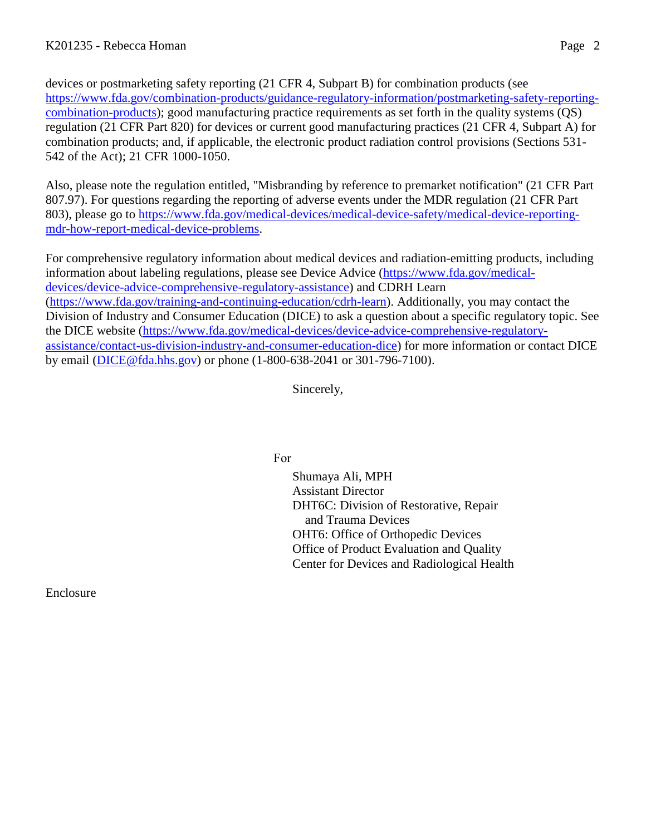devices or postmarketing safety reporting (21 CFR 4, Subpart B) for combination products (see [https://www.fda.gov/combination-products/guidance-regulatory-information/postmarketing-safety-reporting](https://www.fda.gov/combination-products/guidance-regulatory-information/postmarketing-safety-reporting-combination-products)[combination-products\)](https://www.fda.gov/combination-products/guidance-regulatory-information/postmarketing-safety-reporting-combination-products); good manufacturing practice requirements as set forth in the quality systems (QS) regulation (21 CFR Part 820) for devices or current good manufacturing practices (21 CFR 4, Subpart A) for combination products; and, if applicable, the electronic product radiation control provisions (Sections 531- 542 of the Act); 21 CFR 1000-1050.

Also, please note the regulation entitled, "Misbranding by reference to premarket notification" (21 CFR Part 807.97). For questions regarding the reporting of adverse events under the MDR regulation (21 CFR Part 803), please go to [https://www.fda.gov/medical-devices/medical-device-safety/medical-device-reporting](https://www.fda.gov/medical-devices/medical-device-safety/medical-device-reporting-mdr-how-report-medical-device-problems)[mdr-how-report-medical-device-problems.](https://www.fda.gov/medical-devices/medical-device-safety/medical-device-reporting-mdr-how-report-medical-device-problems)

For comprehensive regulatory information about medical devices and radiation-emitting products, including information about labeling regulations, please see Device Advice [\(https://www.fda.gov/medical](https://www.fda.gov/medical-devices/device-advice-comprehensive-regulatory-assistance)[devices/device-advice-comprehensive-regulatory-assistance\)](https://www.fda.gov/medical-devices/device-advice-comprehensive-regulatory-assistance) and CDRH Learn [\(https://www.fda.gov/training-and-continuing-education/cdrh-learn\)](https://www.fda.gov/training-and-continuing-education/cdrh-learn). Additionally, you may contact the Division of Industry and Consumer Education (DICE) to ask a question about a specific regulatory topic. See the DICE website [\(https://www.fda.gov/medical-devices/device-advice-comprehensive-regulatory](https://www.fda.gov/medical-devices/device-advice-comprehensive-regulatory-assistance/contact-us-division-industry-and-consumer-education-dice)[assistance/contact-us-division-industry-and-consumer-education-dice\)](https://www.fda.gov/medical-devices/device-advice-comprehensive-regulatory-assistance/contact-us-division-industry-and-consumer-education-dice) for more information or contact DICE by email [\(DICE@fda.hhs.gov\)](mailto:%20DICE@fda.hhs.gov) or phone (1-800-638-2041 or 301-796-7100).

Sincerely,

For

Shumaya Ali, MPH Assistant Director DHT6C: Division of Restorative, Repair and Trauma Devices OHT6: Office of Orthopedic Devices Office of Product Evaluation and Quality Center for Devices and Radiological Health

Enclosure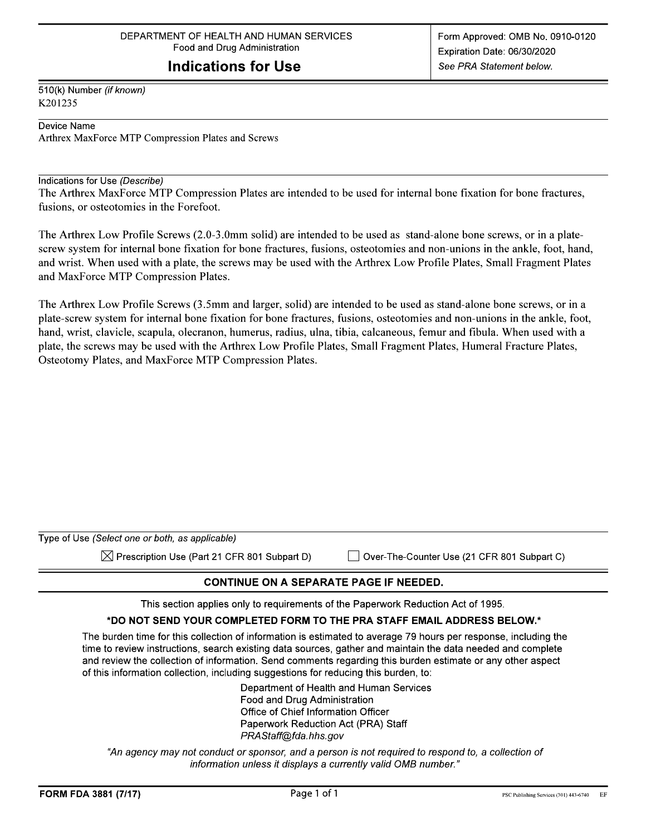## **Indications for Use**

510(k) Number (if known) K201235

Device Name

Arthrex MaxForce MTP Compression Plates and Screws

#### Indications for Use (Describe)

The Arthrex MaxForce MTP Compression Plates are intended to be used for internal bone fixation for bone fractures, fusions, or osteotomies in the Forefoot.

The Arthrex Low Profile Screws (2.0-3.0mm solid) are intended to be used as stand-alone bone screws, or in a platescrew system for internal bone fixation for bone fractures, fusions, osteotomies and non-unions in the ankle, foot, hand, and wrist. When used with a plate, the screws may be used with the Arthrex Low Profile Plates, Small Fragment Plates and MaxForce MTP Compression Plates.

The Arthrex Low Profile Screws (3.5mm and larger, solid) are intended to be used as stand-alone bone screws, or in a plate-screw system for internal bone fixation for bone fractures, fusions, osteotomies and non-unions in the ankle, foot, hand, wrist, clavicle, scapula, olecranon, humerus, radius, ulna, tibia, calcaneous, femur and fibula. When used with a plate, the screws may be used with the Arthrex Low Profile Plates, Small Fragment Plates, Humeral Fracture Plates, Osteotomy Plates, and MaxForce MTP Compression Plates.

| Type of Use (Select one or both, as applicable)          |                                             |
|----------------------------------------------------------|---------------------------------------------|
| $\boxtimes$ Prescription Use (Part 21 CFR 801 Subpart D) | Over-The-Counter Use (21 CFR 801 Subpart C) |
|                                                          |                                             |

### **CONTINUE ON A SEPARATE PAGE IF NEEDED.**

This section applies only to requirements of the Paperwork Reduction Act of 1995.

### \*DO NOT SEND YOUR COMPLETED FORM TO THE PRA STAFF EMAIL ADDRESS BELOW.\*

The burden time for this collection of information is estimated to average 79 hours per response, including the time to review instructions, search existing data sources, gather and maintain the data needed and complete and review the collection of information. Send comments regarding this burden estimate or any other aspect of this information collection, including suggestions for reducing this burden, to:

> Department of Health and Human Services Food and Drug Administration Office of Chief Information Officer Paperwork Reduction Act (PRA) Staff PRAStaff@fda.hhs.gov

"An agency may not conduct or sponsor, and a person is not required to respond to, a collection of information unless it displays a currently valid OMB number."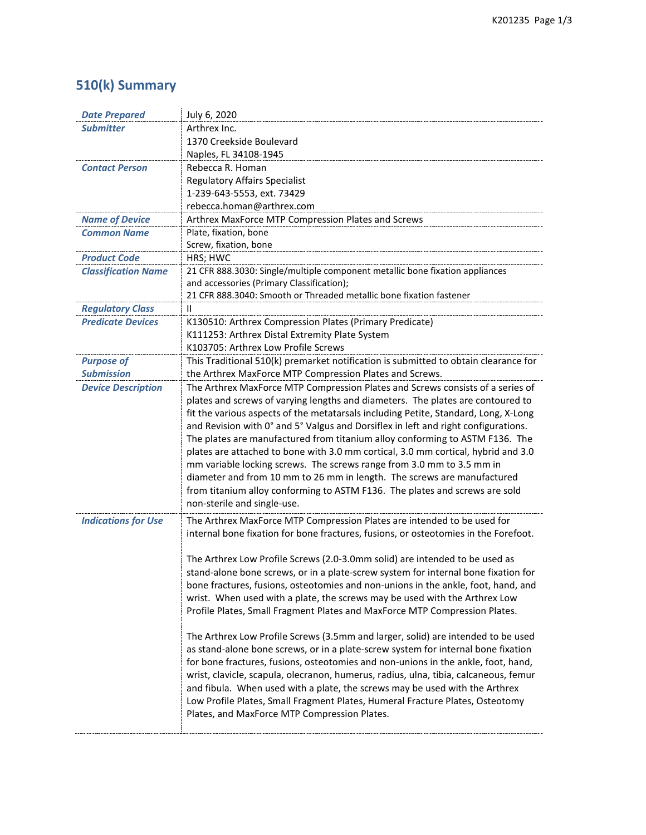# **510(k) Summary**

| <b>Date Prepared</b>       | July 6, 2020                                                                                                                                             |
|----------------------------|----------------------------------------------------------------------------------------------------------------------------------------------------------|
| <b>Submitter</b>           | Arthrex Inc.                                                                                                                                             |
|                            | 1370 Creekside Boulevard                                                                                                                                 |
|                            | Naples, FL 34108-1945                                                                                                                                    |
| <b>Contact Person</b>      | Rebecca R. Homan                                                                                                                                         |
|                            | <b>Regulatory Affairs Specialist</b>                                                                                                                     |
|                            | 1-239-643-5553, ext. 73429                                                                                                                               |
|                            | rebecca.homan@arthrex.com                                                                                                                                |
| <b>Name of Device</b>      | Arthrex MaxForce MTP Compression Plates and Screws                                                                                                       |
| <b>Common Name</b>         | Plate, fixation, bone                                                                                                                                    |
|                            | Screw, fixation, bone                                                                                                                                    |
| <b>Product Code</b>        | HRS; HWC                                                                                                                                                 |
| <b>Classification Name</b> | 21 CFR 888.3030: Single/multiple component metallic bone fixation appliances                                                                             |
|                            | and accessories (Primary Classification);                                                                                                                |
|                            | 21 CFR 888.3040: Smooth or Threaded metallic bone fixation fastener                                                                                      |
| <b>Regulatory Class</b>    | Ш                                                                                                                                                        |
| <b>Predicate Devices</b>   | K130510: Arthrex Compression Plates (Primary Predicate)                                                                                                  |
|                            | K111253: Arthrex Distal Extremity Plate System                                                                                                           |
|                            | K103705: Arthrex Low Profile Screws                                                                                                                      |
| <b>Purpose of</b>          | This Traditional 510(k) premarket notification is submitted to obtain clearance for                                                                      |
| <b>Submission</b>          | the Arthrex MaxForce MTP Compression Plates and Screws.                                                                                                  |
| <b>Device Description</b>  | The Arthrex MaxForce MTP Compression Plates and Screws consists of a series of                                                                           |
|                            | plates and screws of varying lengths and diameters. The plates are contoured to                                                                          |
|                            | fit the various aspects of the metatarsals including Petite, Standard, Long, X-Long                                                                      |
|                            | and Revision with 0° and 5° Valgus and Dorsiflex in left and right configurations.                                                                       |
|                            | The plates are manufactured from titanium alloy conforming to ASTM F136. The                                                                             |
|                            | plates are attached to bone with 3.0 mm cortical, 3.0 mm cortical, hybrid and 3.0                                                                        |
|                            | mm variable locking screws. The screws range from 3.0 mm to 3.5 mm in                                                                                    |
|                            | diameter and from 10 mm to 26 mm in length. The screws are manufactured                                                                                  |
|                            | from titanium alloy conforming to ASTM F136. The plates and screws are sold                                                                              |
|                            | non-sterile and single-use.                                                                                                                              |
| <b>Indications for Use</b> | The Arthrex MaxForce MTP Compression Plates are intended to be used for                                                                                  |
|                            | internal bone fixation for bone fractures, fusions, or osteotomies in the Forefoot.                                                                      |
|                            |                                                                                                                                                          |
|                            | The Arthrex Low Profile Screws (2.0-3.0mm solid) are intended to be used as                                                                              |
|                            | stand-alone bone screws, or in a plate-screw system for internal bone fixation for                                                                       |
|                            |                                                                                                                                                          |
|                            | bone fractures, fusions, osteotomies and non-unions in the ankle, foot, hand, and                                                                        |
|                            | wrist. When used with a plate, the screws may be used with the Arthrex Low<br>Profile Plates, Small Fragment Plates and MaxForce MTP Compression Plates. |
|                            |                                                                                                                                                          |
|                            | The Arthrex Low Profile Screws (3.5mm and larger, solid) are intended to be used                                                                         |
|                            | as stand-alone bone screws, or in a plate-screw system for internal bone fixation                                                                        |
|                            | for bone fractures, fusions, osteotomies and non-unions in the ankle, foot, hand,                                                                        |
|                            | wrist, clavicle, scapula, olecranon, humerus, radius, ulna, tibia, calcaneous, femur                                                                     |
|                            | and fibula. When used with a plate, the screws may be used with the Arthrex                                                                              |
|                            | Low Profile Plates, Small Fragment Plates, Humeral Fracture Plates, Osteotomy                                                                            |
|                            | Plates, and MaxForce MTP Compression Plates.                                                                                                             |
|                            |                                                                                                                                                          |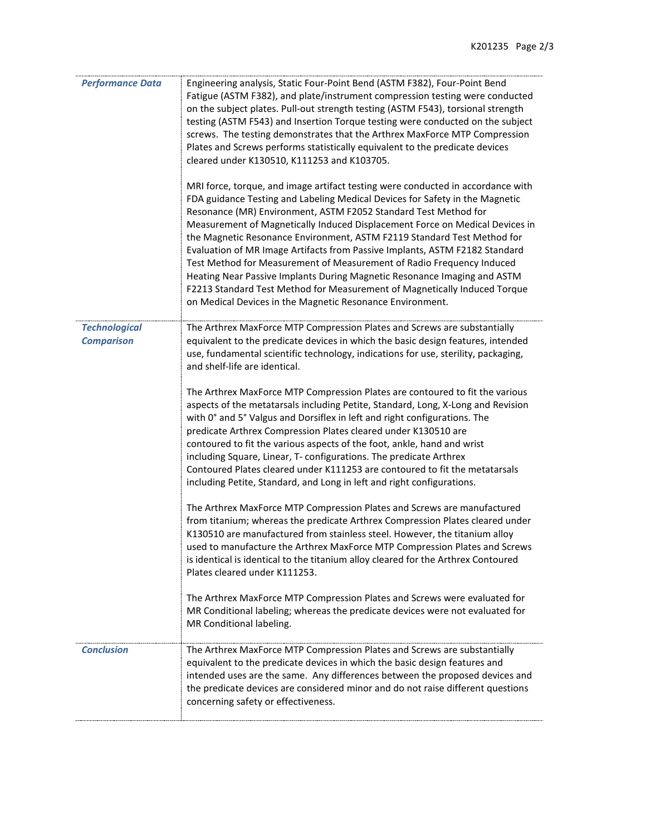| <b>Performance Data</b>                   | Engineering analysis, Static Four-Point Bend (ASTM F382), Four-Point Bend<br>Fatigue (ASTM F382), and plate/instrument compression testing were conducted<br>on the subject plates. Pull-out strength testing (ASTM F543), torsional strength<br>testing (ASTM F543) and Insertion Torque testing were conducted on the subject<br>screws. The testing demonstrates that the Arthrex MaxForce MTP Compression<br>Plates and Screws performs statistically equivalent to the predicate devices<br>cleared under K130510, K111253 and K103705.                                                                                                                                                                                                                                |
|-------------------------------------------|-----------------------------------------------------------------------------------------------------------------------------------------------------------------------------------------------------------------------------------------------------------------------------------------------------------------------------------------------------------------------------------------------------------------------------------------------------------------------------------------------------------------------------------------------------------------------------------------------------------------------------------------------------------------------------------------------------------------------------------------------------------------------------|
|                                           | MRI force, torque, and image artifact testing were conducted in accordance with<br>FDA guidance Testing and Labeling Medical Devices for Safety in the Magnetic<br>Resonance (MR) Environment, ASTM F2052 Standard Test Method for<br>Measurement of Magnetically Induced Displacement Force on Medical Devices in<br>the Magnetic Resonance Environment, ASTM F2119 Standard Test Method for<br>Evaluation of MR Image Artifacts from Passive Implants, ASTM F2182 Standard<br>Test Method for Measurement of Measurement of Radio Frequency Induced<br>Heating Near Passive Implants During Magnetic Resonance Imaging and ASTM<br>F2213 Standard Test Method for Measurement of Magnetically Induced Torque<br>on Medical Devices in the Magnetic Resonance Environment. |
| <b>Technological</b><br><b>Comparison</b> | The Arthrex MaxForce MTP Compression Plates and Screws are substantially<br>equivalent to the predicate devices in which the basic design features, intended<br>use, fundamental scientific technology, indications for use, sterility, packaging,<br>and shelf-life are identical.                                                                                                                                                                                                                                                                                                                                                                                                                                                                                         |
|                                           | The Arthrex MaxForce MTP Compression Plates are contoured to fit the various<br>aspects of the metatarsals including Petite, Standard, Long, X-Long and Revision<br>with 0° and 5° Valgus and Dorsiflex in left and right configurations. The<br>predicate Arthrex Compression Plates cleared under K130510 are<br>contoured to fit the various aspects of the foot, ankle, hand and wrist<br>including Square, Linear, T- configurations. The predicate Arthrex<br>Contoured Plates cleared under K111253 are contoured to fit the metatarsals<br>including Petite, Standard, and Long in left and right configurations.                                                                                                                                                   |
|                                           | The Arthrex MaxForce MTP Compression Plates and Screws are manufactured<br>from titanium; whereas the predicate Arthrex Compression Plates cleared under<br>K130510 are manufactured from stainless steel. However, the titanium alloy<br>used to manufacture the Arthrex MaxForce MTP Compression Plates and Screws<br>is identical is identical to the titanium alloy cleared for the Arthrex Contoured<br>Plates cleared under K111253.                                                                                                                                                                                                                                                                                                                                  |
|                                           | The Arthrex MaxForce MTP Compression Plates and Screws were evaluated for<br>MR Conditional labeling; whereas the predicate devices were not evaluated for<br>MR Conditional labeling.                                                                                                                                                                                                                                                                                                                                                                                                                                                                                                                                                                                      |
| <b>Conclusion</b>                         | The Arthrex MaxForce MTP Compression Plates and Screws are substantially<br>equivalent to the predicate devices in which the basic design features and<br>intended uses are the same. Any differences between the proposed devices and<br>the predicate devices are considered minor and do not raise different questions<br>concerning safety or effectiveness.                                                                                                                                                                                                                                                                                                                                                                                                            |